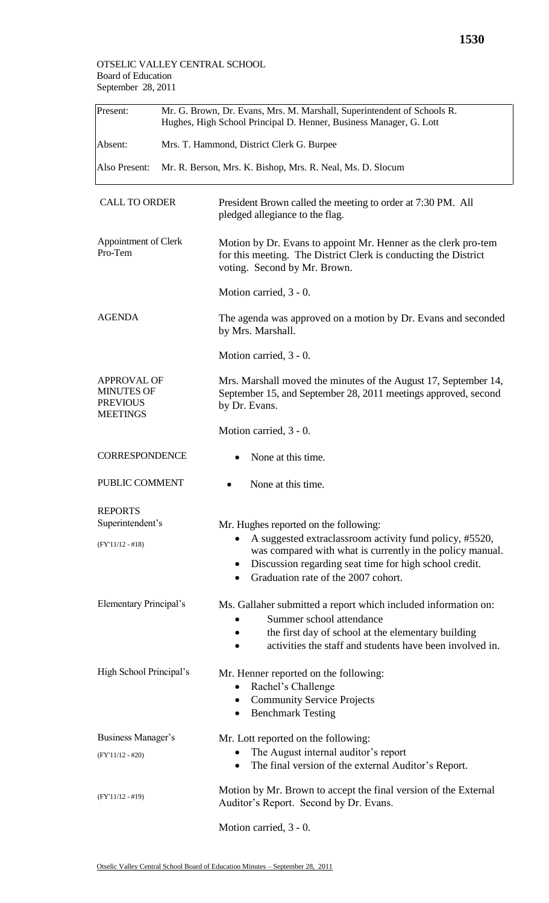| Present:                                                                      | Mr. G. Brown, Dr. Evans, Mrs. M. Marshall, Superintendent of Schools R.<br>Hughes, High School Principal D. Henner, Business Manager, G. Lott |                                                                                                                                                                                                                                                                             |  |  |  |
|-------------------------------------------------------------------------------|-----------------------------------------------------------------------------------------------------------------------------------------------|-----------------------------------------------------------------------------------------------------------------------------------------------------------------------------------------------------------------------------------------------------------------------------|--|--|--|
| Absent:                                                                       | Mrs. T. Hammond, District Clerk G. Burpee                                                                                                     |                                                                                                                                                                                                                                                                             |  |  |  |
| Also Present:                                                                 |                                                                                                                                               | Mr. R. Berson, Mrs. K. Bishop, Mrs. R. Neal, Ms. D. Slocum                                                                                                                                                                                                                  |  |  |  |
| <b>CALL TO ORDER</b>                                                          |                                                                                                                                               | President Brown called the meeting to order at 7:30 PM. All<br>pledged allegiance to the flag.                                                                                                                                                                              |  |  |  |
| Appointment of Clerk<br>Pro-Tem                                               |                                                                                                                                               | Motion by Dr. Evans to appoint Mr. Henner as the clerk pro-tem<br>for this meeting. The District Clerk is conducting the District<br>voting. Second by Mr. Brown.                                                                                                           |  |  |  |
|                                                                               |                                                                                                                                               | Motion carried, 3 - 0.                                                                                                                                                                                                                                                      |  |  |  |
| <b>AGENDA</b>                                                                 |                                                                                                                                               | The agenda was approved on a motion by Dr. Evans and seconded<br>by Mrs. Marshall.                                                                                                                                                                                          |  |  |  |
|                                                                               |                                                                                                                                               | Motion carried, 3 - 0.                                                                                                                                                                                                                                                      |  |  |  |
| <b>APPROVAL OF</b><br><b>MINUTES OF</b><br><b>PREVIOUS</b><br><b>MEETINGS</b> |                                                                                                                                               | Mrs. Marshall moved the minutes of the August 17, September 14,<br>September 15, and September 28, 2011 meetings approved, second<br>by Dr. Evans.                                                                                                                          |  |  |  |
|                                                                               |                                                                                                                                               | Motion carried, 3 - 0.                                                                                                                                                                                                                                                      |  |  |  |
| <b>CORRESPONDENCE</b>                                                         |                                                                                                                                               | None at this time.                                                                                                                                                                                                                                                          |  |  |  |
| PUBLIC COMMENT                                                                |                                                                                                                                               | None at this time.                                                                                                                                                                                                                                                          |  |  |  |
| <b>REPORTS</b><br>Superintendent's<br>$(FY'11/12 - #18)$                      |                                                                                                                                               | Mr. Hughes reported on the following:<br>A suggested extraclassroom activity fund policy, #5520,<br>$\bullet$<br>was compared with what is currently in the policy manual.<br>Discussion regarding seat time for high school credit.<br>Graduation rate of the 2007 cohort. |  |  |  |
| <b>Elementary Principal's</b>                                                 |                                                                                                                                               | Ms. Gallaher submitted a report which included information on:<br>Summer school attendance<br>the first day of school at the elementary building<br>activities the staff and students have been involved in.                                                                |  |  |  |
| High School Principal's                                                       |                                                                                                                                               | Mr. Henner reported on the following:<br>Rachel's Challenge<br>$\bullet$<br><b>Community Service Projects</b><br>٠<br><b>Benchmark Testing</b><br>$\bullet$                                                                                                                 |  |  |  |
| Business Manager's                                                            |                                                                                                                                               | Mr. Lott reported on the following:                                                                                                                                                                                                                                         |  |  |  |
| $(FY'11/12 - #20)$                                                            |                                                                                                                                               | The August internal auditor's report<br>The final version of the external Auditor's Report.<br>$\bullet$                                                                                                                                                                    |  |  |  |
| $(FY'11/12 - #19)$                                                            |                                                                                                                                               | Motion by Mr. Brown to accept the final version of the External<br>Auditor's Report. Second by Dr. Evans.                                                                                                                                                                   |  |  |  |
|                                                                               |                                                                                                                                               | Motion carried, 3 - 0.                                                                                                                                                                                                                                                      |  |  |  |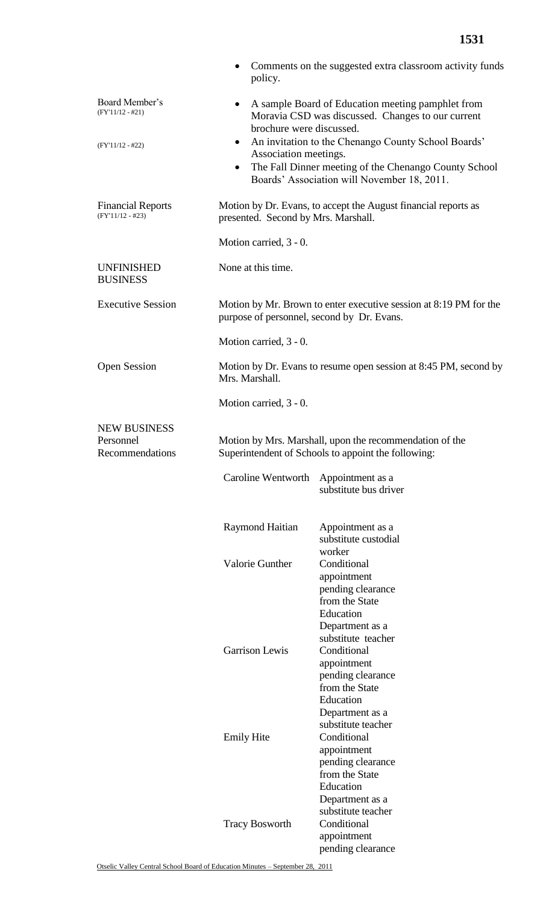|                                                     | $\bullet$<br>policy.                                                                                            | Comments on the suggested extra classroom activity funds                                                                |  |  |
|-----------------------------------------------------|-----------------------------------------------------------------------------------------------------------------|-------------------------------------------------------------------------------------------------------------------------|--|--|
| Board Member's<br>$(FY'11/12 - #21)$                | ٠<br>brochure were discussed.                                                                                   | A sample Board of Education meeting pamphlet from<br>Moravia CSD was discussed. Changes to our current                  |  |  |
| $(FY'11/12 - #22)$                                  | $\bullet$                                                                                                       | An invitation to the Chenango County School Boards'                                                                     |  |  |
|                                                     | Association meetings.                                                                                           | The Fall Dinner meeting of the Chenango County School<br>Boards' Association will November 18, 2011.                    |  |  |
| <b>Financial Reports</b><br>$(FY'11/12 - #23)$      | Motion by Dr. Evans, to accept the August financial reports as<br>presented. Second by Mrs. Marshall.           |                                                                                                                         |  |  |
|                                                     | Motion carried, 3 - 0.                                                                                          |                                                                                                                         |  |  |
| <b>UNFINISHED</b><br><b>BUSINESS</b>                | None at this time.                                                                                              |                                                                                                                         |  |  |
| <b>Executive Session</b>                            | Motion by Mr. Brown to enter executive session at 8:19 PM for the<br>purpose of personnel, second by Dr. Evans. |                                                                                                                         |  |  |
|                                                     | Motion carried, 3 - 0.                                                                                          |                                                                                                                         |  |  |
| <b>Open Session</b>                                 | Motion by Dr. Evans to resume open session at 8:45 PM, second by<br>Mrs. Marshall.                              |                                                                                                                         |  |  |
|                                                     | Motion carried, 3 - 0.                                                                                          |                                                                                                                         |  |  |
| <b>NEW BUSINESS</b><br>Personnel<br>Recommendations | Motion by Mrs. Marshall, upon the recommendation of the<br>Superintendent of Schools to appoint the following:  |                                                                                                                         |  |  |
|                                                     | Caroline Wentworth                                                                                              | Appointment as a<br>substitute bus driver                                                                               |  |  |
|                                                     | Raymond Haitian                                                                                                 | Appointment as a<br>substitute custodial<br>worker                                                                      |  |  |
|                                                     | <b>Valorie Gunther</b>                                                                                          | Conditional<br>appointment<br>pending clearance<br>from the State<br>Education<br>Department as a                       |  |  |
|                                                     | Garrison Lewis                                                                                                  | substitute teacher<br>Conditional<br>appointment<br>pending clearance<br>from the State<br>Education<br>Department as a |  |  |
|                                                     | <b>Emily Hite</b>                                                                                               | substitute teacher<br>Conditional<br>appointment<br>pending clearance<br>from the State<br>Education                    |  |  |
|                                                     | <b>Tracy Bosworth</b>                                                                                           | Department as a<br>substitute teacher<br>Conditional<br>appointment                                                     |  |  |

pending clearance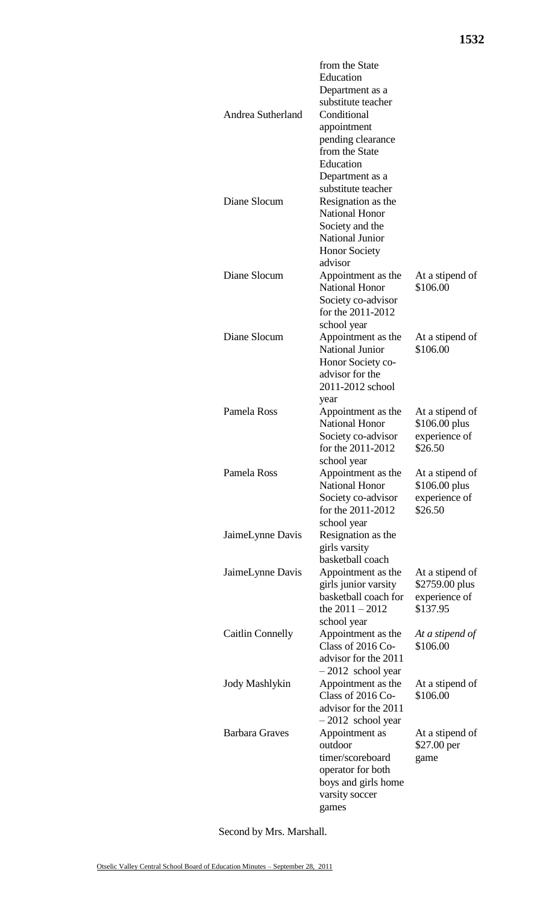|                         | from the State                              |                                   |
|-------------------------|---------------------------------------------|-----------------------------------|
|                         | Education                                   |                                   |
|                         | Department as a<br>substitute teacher       |                                   |
| Andrea Sutherland       | Conditional                                 |                                   |
|                         | appointment                                 |                                   |
|                         | pending clearance                           |                                   |
|                         | from the State                              |                                   |
|                         | Education                                   |                                   |
|                         | Department as a                             |                                   |
|                         | substitute teacher                          |                                   |
| Diane Slocum            | Resignation as the                          |                                   |
|                         | <b>National Honor</b>                       |                                   |
|                         | Society and the                             |                                   |
|                         | <b>National Junior</b>                      |                                   |
|                         | <b>Honor Society</b><br>advisor             |                                   |
| Diane Slocum            | Appointment as the                          | At a stipend of                   |
|                         | <b>National Honor</b>                       | \$106.00                          |
|                         | Society co-advisor                          |                                   |
|                         | for the 2011-2012                           |                                   |
|                         | school year                                 |                                   |
| Diane Slocum            | Appointment as the                          | At a stipend of                   |
|                         | <b>National Junior</b>                      | \$106.00                          |
|                         | Honor Society co-                           |                                   |
|                         | advisor for the                             |                                   |
|                         | 2011-2012 school                            |                                   |
|                         | year                                        |                                   |
| Pamela Ross             | Appointment as the<br><b>National Honor</b> | At a stipend of                   |
|                         | Society co-advisor                          | \$106.00 plus<br>experience of    |
|                         | for the 2011-2012                           | \$26.50                           |
|                         | school year                                 |                                   |
| Pamela Ross             | Appointment as the                          | At a stipend of                   |
|                         | <b>National Honor</b>                       | \$106.00 plus                     |
|                         | Society co-advisor                          | experience of                     |
|                         | for the 2011-2012                           | \$26.50                           |
|                         | school year                                 |                                   |
| JaimeLynne Davis        | Resignation as the                          |                                   |
|                         | girls varsity                               |                                   |
|                         | basketball coach                            |                                   |
| JaimeLynne Davis        | Appointment as the<br>girls junior varsity  | At a stipend of<br>\$2759.00 plus |
|                         | basketball coach for                        | experience of                     |
|                         | the $2011 - 2012$                           | \$137.95                          |
|                         | school year                                 |                                   |
| <b>Caitlin Connelly</b> | Appointment as the                          | At a stipend of                   |
|                         | Class of 2016 Co-                           | \$106.00                          |
|                         | advisor for the 2011                        |                                   |
|                         | $-2012$ school year                         |                                   |
| <b>Jody Mashlykin</b>   | Appointment as the                          | At a stipend of                   |
|                         | Class of $2016$ Co-                         | \$106.00                          |
|                         | advisor for the 2011                        |                                   |
| <b>Barbara Graves</b>   | $-2012$ school year<br>Appointment as       | At a stipend of                   |
|                         | outdoor                                     | \$27.00 per                       |
|                         | timer/scoreboard                            | game                              |
|                         | operator for both                           |                                   |
|                         | boys and girls home                         |                                   |
|                         | varsity soccer                              |                                   |
|                         | games                                       |                                   |

Second by Mrs. Marshall.